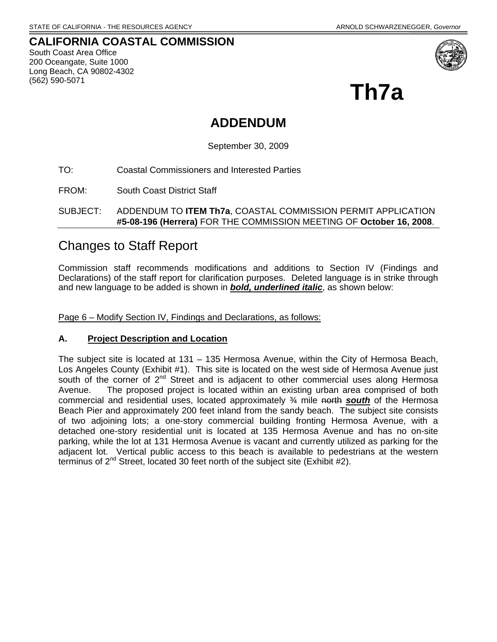#### **CALIFORNIA COASTAL COMMISSION**  South Coast Area Office 200 Oceangate, Suite 1000 Long Beach, CA 90802-4302 (562) 590-5071



**Th7a** 

# **ADDENDUM**

September 30, 2009

TO: Coastal Commissioners and Interested Parties

FROM: South Coast District Staff

SUBJECT: ADDENDUM TO **ITEM Th7a**, COASTAL COMMISSION PERMIT APPLICATION **#5-08-196 (Herrera)** FOR THE COMMISSION MEETING OF **October 16, 2008**.

# Changes to Staff Report

Commission staff recommends modifications and additions to Section IV (Findings and Declarations) of the staff report for clarification purposes. Deleted language is in strike through and new language to be added is shown in *bold, underlined italic*, as shown below:

Page 6 – Modify Section IV, Findings and Declarations, as follows:

#### **A. Project Description and Location**

The subject site is located at 131 – 135 Hermosa Avenue, within the City of Hermosa Beach, Los Angeles County (Exhibit #1). This site is located on the west side of Hermosa Avenue just south of the corner of 2<sup>nd</sup> Street and is adjacent to other commercial uses along Hermosa Avenue. The proposed project is located within an existing urban area comprised of both commercial and residential uses, located approximately ¾ mile north *south* of the Hermosa Beach Pier and approximately 200 feet inland from the sandy beach. The subject site consists of two adjoining lots; a one-story commercial building fronting Hermosa Avenue, with a detached one-story residential unit is located at 135 Hermosa Avenue and has no on-site parking, while the lot at 131 Hermosa Avenue is vacant and currently utilized as parking for the adjacent lot. Vertical public access to this beach is available to pedestrians at the western terminus of  $2^{nd}$  Street, located 30 feet north of the subject site (Exhibit #2).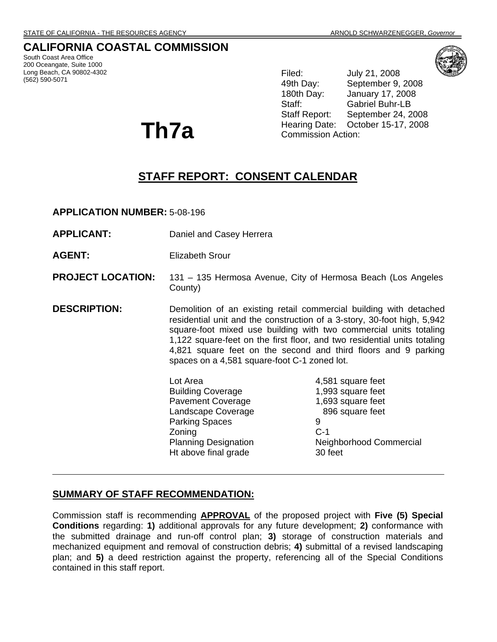# **CALIFORNIA COASTAL COMMISSION**

South Coast Area Office 200 Oceangate, Suite 1000 Long Beach, CA 90802-4302 (562) 590-5071

**Th7a** 

Filed: July 21, 2008 49th Day: September 9, 2008 180th Day: January 17, 2008 Staff: Gabriel Buhr-LB Staff Report: September 24, 2008 Hearing Date: October 15-17, 2008 Commission Action:

# **STAFF REPORT: CONSENT CALENDAR**

**APPLICATION NUMBER:** 5-08-196

- **APPLICANT:** Daniel and Casey Herrera
- **AGENT:** Elizabeth Srour

#### **PROJECT LOCATION:** 131 – 135 Hermosa Avenue, City of Hermosa Beach (Los Angeles County)

**DESCRIPTION:** Demolition of an existing retail commercial building with detached residential unit and the construction of a 3-story, 30-foot high, 5,942 square-foot mixed use building with two commercial units totaling 1,122 square-feet on the first floor, and two residential units totaling 4,821 square feet on the second and third floors and 9 parking spaces on a 4,581 square-foot C-1 zoned lot.

> Lot Area 2012 12:30 12:30 12:30 12:30 12:30 12:30 12:30 12:30 12:30 12:30 12:30 12:30 12:30 12:30 12:30 12:30 Building Coverage 1,993 square feet Pavement Coverage 1,693 square feet Landscape Coverage 896 square feet Parking Spaces 9 Zoning C-1 Ht above final grade 30 feet

Planning Designation Neighborhood Commercial

#### **SUMMARY OF STAFF RECOMMENDATION:**

Commission staff is recommending **APPROVAL** of the proposed project with **Five (5) Special Conditions** regarding: **1)** additional approvals for any future development; **2)** conformance with the submitted drainage and run-off control plan; **3)** storage of construction materials and mechanized equipment and removal of construction debris; **4)** submittal of a revised landscaping plan; and **5)** a deed restriction against the property, referencing all of the Special Conditions contained in this staff report.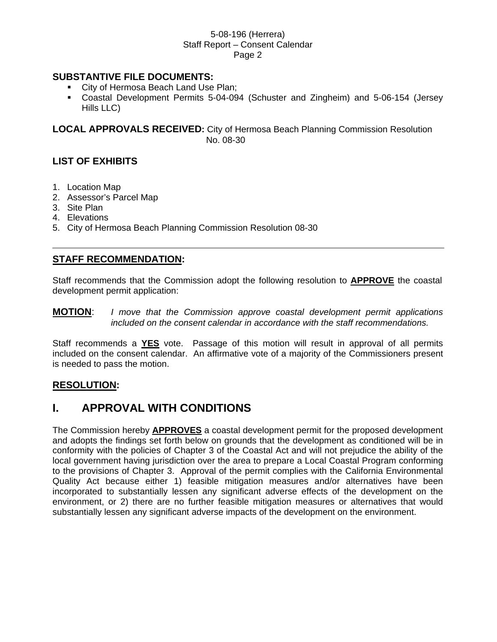### **SUBSTANTIVE FILE DOCUMENTS:**

- City of Hermosa Beach Land Use Plan;
- Coastal Development Permits 5-04-094 (Schuster and Zingheim) and 5-06-154 (Jersey Hills LLC)

**LOCAL APPROVALS RECEIVED:** City of Hermosa Beach Planning Commission Resolution No. 08-30

### **LIST OF EXHIBITS**

- 1. Location Map
- 2. Assessor's Parcel Map
- 3. Site Plan
- 4. Elevations
- 5. City of Hermosa Beach Planning Commission Resolution 08-30

### **STAFF RECOMMENDATION:**

Staff recommends that the Commission adopt the following resolution to **APPROVE** the coastal development permit application:

**MOTION**: *I move that the Commission approve coastal development permit applications included on the consent calendar in accordance with the staff recommendations.* 

Staff recommends a **YES** vote. Passage of this motion will result in approval of all permits included on the consent calendar. An affirmative vote of a majority of the Commissioners present is needed to pass the motion.

#### **RESOLUTION:**

# **I. APPROVAL WITH CONDITIONS**

The Commission hereby **APPROVES** a coastal development permit for the proposed development and adopts the findings set forth below on grounds that the development as conditioned will be in conformity with the policies of Chapter 3 of the Coastal Act and will not prejudice the ability of the local government having jurisdiction over the area to prepare a Local Coastal Program conforming to the provisions of Chapter 3. Approval of the permit complies with the California Environmental Quality Act because either 1) feasible mitigation measures and/or alternatives have been incorporated to substantially lessen any significant adverse effects of the development on the environment, or 2) there are no further feasible mitigation measures or alternatives that would substantially lessen any significant adverse impacts of the development on the environment.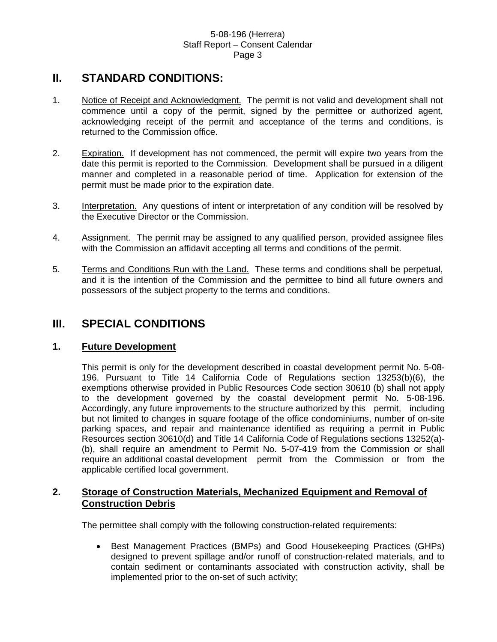# **II. STANDARD CONDITIONS:**

- 1. Notice of Receipt and Acknowledgment. The permit is not valid and development shall not commence until a copy of the permit, signed by the permittee or authorized agent, acknowledging receipt of the permit and acceptance of the terms and conditions, is returned to the Commission office.
- 2. Expiration. If development has not commenced, the permit will expire two years from the date this permit is reported to the Commission. Development shall be pursued in a diligent manner and completed in a reasonable period of time. Application for extension of the permit must be made prior to the expiration date.
- 3. Interpretation. Any questions of intent or interpretation of any condition will be resolved by the Executive Director or the Commission.
- 4. Assignment. The permit may be assigned to any qualified person, provided assignee files with the Commission an affidavit accepting all terms and conditions of the permit.
- 5. Terms and Conditions Run with the Land. These terms and conditions shall be perpetual, and it is the intention of the Commission and the permittee to bind all future owners and possessors of the subject property to the terms and conditions.

# **III. SPECIAL CONDITIONS**

# **1. Future Development**

This permit is only for the development described in coastal development permit No. 5-08- 196. Pursuant to Title 14 California Code of Regulations section 13253(b)(6), the exemptions otherwise provided in Public Resources Code section 30610 (b) shall not apply to the development governed by the coastal development permit No. 5-08-196. Accordingly, any future improvements to the structure authorized by this permit, including but not limited to changes in square footage of the office condominiums, number of on-site parking spaces, and repair and maintenance identified as requiring a permit in Public Resources section 30610(d) and Title 14 California Code of Regulations sections 13252(a)- (b), shall require an amendment to Permit No. 5-07-419 from the Commission or shall require an additional coastal development permit from the Commission or from the applicable certified local government.

# **2. Storage of Construction Materials, Mechanized Equipment and Removal of Construction Debris**

The permittee shall comply with the following construction-related requirements:

• Best Management Practices (BMPs) and Good Housekeeping Practices (GHPs) designed to prevent spillage and/or runoff of construction-related materials, and to contain sediment or contaminants associated with construction activity, shall be implemented prior to the on-set of such activity;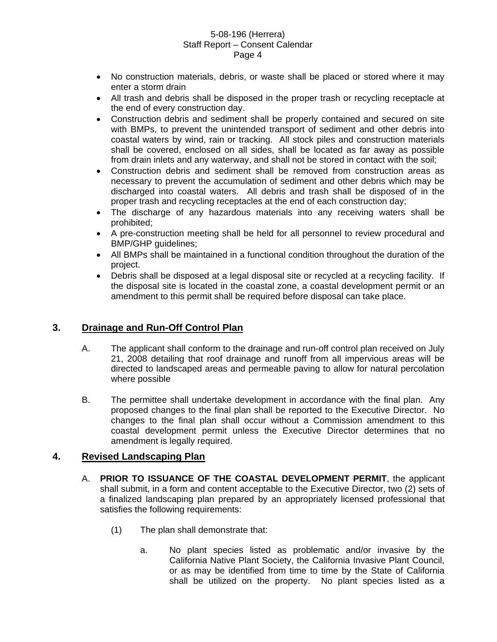- No construction materials, debris, or waste shall be placed or stored where it may enter a storm drain
- All trash and debris shall be disposed in the proper trash or recycling receptacle at the end of every construction day.
- Construction debris and sediment shall be properly contained and secured on site with BMPs, to prevent the unintended transport of sediment and other debris into coastal waters by wind, rain or tracking. All stock piles and construction materials shall be covered, enclosed on all sides, shall be located as far away as possible from drain inlets and any waterway, and shall not be stored in contact with the soil;
- Construction debris and sediment shall be removed from construction areas as necessary to prevent the accumulation of sediment and other debris which may be discharged into coastal waters. All debris and trash shall be disposed of in the proper trash and recycling receptacles at the end of each construction day;
- The discharge of any hazardous materials into any receiving waters shall be prohibited;
- A pre-construction meeting shall be held for all personnel to review procedural and BMP/GHP guidelines;
- All BMPs shall be maintained in a functional condition throughout the duration of the project.
- Debris shall be disposed at a legal disposal site or recycled at a recycling facility. If the disposal site is located in the coastal zone, a coastal development permit or an amendment to this permit shall be required before disposal can take place.

# **3. Drainage and Run-Off Control Plan**

- A. The applicant shall conform to the drainage and run-off control plan received on July 21, 2008 detailing that roof drainage and runoff from all impervious areas will be directed to landscaped areas and permeable paving to allow for natural percolation where possible
- B. The permittee shall undertake development in accordance with the final plan. Any proposed changes to the final plan shall be reported to the Executive Director. No changes to the final plan shall occur without a Commission amendment to this coastal development permit unless the Executive Director determines that no amendment is legally required.

# **4. Revised Landscaping Plan**

- A. **PRIOR TO ISSUANCE OF THE COASTAL DEVELOPMENT PERMIT**, the applicant shall submit, in a form and content acceptable to the Executive Director, two (2) sets of a finalized landscaping plan prepared by an appropriately licensed professional that satisfies the following requirements:
	- (1) The plan shall demonstrate that:
		- a. No plant species listed as problematic and/or invasive by the California Native Plant Society, the California Invasive Plant Council, or as may be identified from time to time by the State of California shall be utilized on the property. No plant species listed as a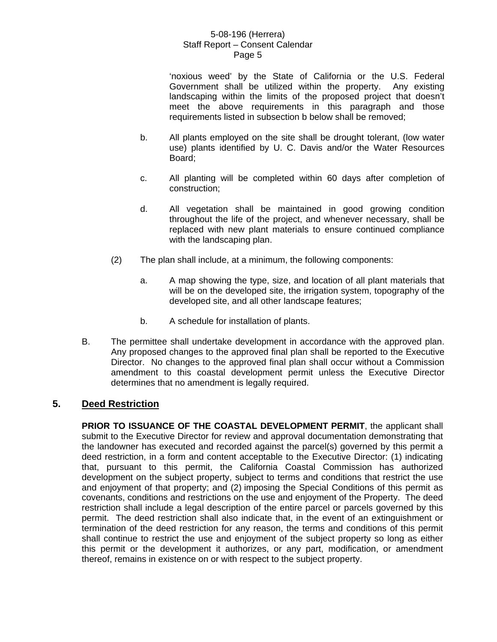'noxious weed' by the State of California or the U.S. Federal Government shall be utilized within the property. Any existing landscaping within the limits of the proposed project that doesn't meet the above requirements in this paragraph and those requirements listed in subsection b below shall be removed;

- b. All plants employed on the site shall be drought tolerant, (low water use) plants identified by U. C. Davis and/or the Water Resources Board;
- c. All planting will be completed within 60 days after completion of construction;
- d. All vegetation shall be maintained in good growing condition throughout the life of the project, and whenever necessary, shall be replaced with new plant materials to ensure continued compliance with the landscaping plan.
- (2) The plan shall include, at a minimum, the following components:
	- a. A map showing the type, size, and location of all plant materials that will be on the developed site, the irrigation system, topography of the developed site, and all other landscape features;
	- b. A schedule for installation of plants.
- B. The permittee shall undertake development in accordance with the approved plan. Any proposed changes to the approved final plan shall be reported to the Executive Director. No changes to the approved final plan shall occur without a Commission amendment to this coastal development permit unless the Executive Director determines that no amendment is legally required.

# **5. Deed Restriction**

**PRIOR TO ISSUANCE OF THE COASTAL DEVELOPMENT PERMIT**, the applicant shall submit to the Executive Director for review and approval documentation demonstrating that the landowner has executed and recorded against the parcel(s) governed by this permit a deed restriction, in a form and content acceptable to the Executive Director: (1) indicating that, pursuant to this permit, the California Coastal Commission has authorized development on the subject property, subject to terms and conditions that restrict the use and enjoyment of that property; and (2) imposing the Special Conditions of this permit as covenants, conditions and restrictions on the use and enjoyment of the Property. The deed restriction shall include a legal description of the entire parcel or parcels governed by this permit. The deed restriction shall also indicate that, in the event of an extinguishment or termination of the deed restriction for any reason, the terms and conditions of this permit shall continue to restrict the use and enjoyment of the subject property so long as either this permit or the development it authorizes, or any part, modification, or amendment thereof, remains in existence on or with respect to the subject property.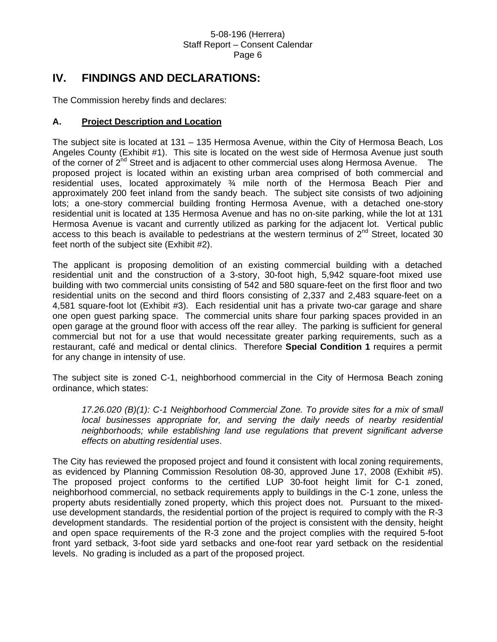# **IV. FINDINGS AND DECLARATIONS:**

The Commission hereby finds and declares:

### **A. Project Description and Location**

The subject site is located at 131 – 135 Hermosa Avenue, within the City of Hermosa Beach, Los Angeles County (Exhibit #1). This site is located on the west side of Hermosa Avenue just south of the corner of 2<sup>nd</sup> Street and is adjacent to other commercial uses along Hermosa Avenue. The proposed project is located within an existing urban area comprised of both commercial and residential uses, located approximately ¾ mile north of the Hermosa Beach Pier and approximately 200 feet inland from the sandy beach. The subject site consists of two adjoining lots; a one-story commercial building fronting Hermosa Avenue, with a detached one-story residential unit is located at 135 Hermosa Avenue and has no on-site parking, while the lot at 131 Hermosa Avenue is vacant and currently utilized as parking for the adjacent lot. Vertical public access to this beach is available to pedestrians at the western terminus of  $2^{nd}$  Street, located 30 feet north of the subject site (Exhibit #2).

The applicant is proposing demolition of an existing commercial building with a detached residential unit and the construction of a 3-story, 30-foot high, 5,942 square-foot mixed use building with two commercial units consisting of 542 and 580 square-feet on the first floor and two residential units on the second and third floors consisting of 2,337 and 2,483 square-feet on a 4,581 square-foot lot (Exhibit #3). Each residential unit has a private two-car garage and share one open guest parking space. The commercial units share four parking spaces provided in an open garage at the ground floor with access off the rear alley. The parking is sufficient for general commercial but not for a use that would necessitate greater parking requirements, such as a restaurant, café and medical or dental clinics. Therefore **Special Condition 1** requires a permit for any change in intensity of use.

The subject site is zoned C-1, neighborhood commercial in the City of Hermosa Beach zoning ordinance, which states:

*17.26.020 (B)(1): C-1 Neighborhood Commercial Zone. To provide sites for a mix of small local businesses appropriate for, and serving the daily needs of nearby residential neighborhoods; while establishing land use regulations that prevent significant adverse effects on abutting residential uses*.

The City has reviewed the proposed project and found it consistent with local zoning requirements, as evidenced by Planning Commission Resolution 08-30, approved June 17, 2008 (Exhibit #5). The proposed project conforms to the certified LUP 30-foot height limit for C-1 zoned, neighborhood commercial, no setback requirements apply to buildings in the C-1 zone, unless the property abuts residentially zoned property, which this project does not. Pursuant to the mixeduse development standards, the residential portion of the project is required to comply with the R-3 development standards. The residential portion of the project is consistent with the density, height and open space requirements of the R-3 zone and the project complies with the required 5-foot front yard setback, 3-foot side yard setbacks and one-foot rear yard setback on the residential levels. No grading is included as a part of the proposed project.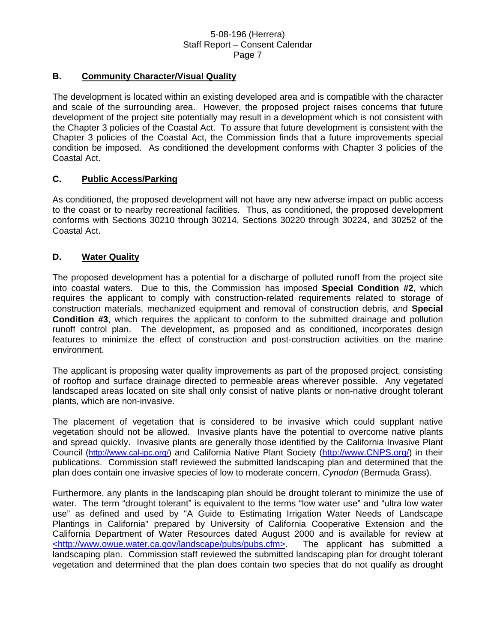#### **B. Community Character/Visual Quality**

The development is located within an existing developed area and is compatible with the character and scale of the surrounding area. However, the proposed project raises concerns that future development of the project site potentially may result in a development which is not consistent with the Chapter 3 policies of the Coastal Act. To assure that future development is consistent with the Chapter 3 policies of the Coastal Act, the Commission finds that a future improvements special condition be imposed. As conditioned the development conforms with Chapter 3 policies of the Coastal Act.

#### **C. Public Access/Parking**

As conditioned, the proposed development will not have any new adverse impact on public access to the coast or to nearby recreational facilities. Thus, as conditioned, the proposed development conforms with Sections 30210 through 30214, Sections 30220 through 30224, and 30252 of the Coastal Act.

#### **D. Water Quality**

The proposed development has a potential for a discharge of polluted runoff from the project site into coastal waters. Due to this, the Commission has imposed **Special Condition #2**, which requires the applicant to comply with construction-related requirements related to storage of construction materials, mechanized equipment and removal of construction debris, and **Special Condition #3**, which requires the applicant to conform to the submitted drainage and pollution runoff control plan. The development, as proposed and as conditioned, incorporates design features to minimize the effect of construction and post-construction activities on the marine environment.

The applicant is proposing water quality improvements as part of the proposed project, consisting of rooftop and surface drainage directed to permeable areas wherever possible. Any vegetated landscaped areas located on site shall only consist of native plants or non-native drought tolerant plants, which are non-invasive.

The placement of vegetation that is considered to be invasive which could supplant native vegetation should not be allowed. Invasive plants have the potential to overcome native plants and spread quickly. Invasive plants are generally those identified by the California Invasive Plant Council [\(http://www.cal-ipc.org/\)](http://www.cal-ipc.org/) and California Native Plant Society [\(http://www.CNPS.org/](http://www.cnps.org/)) in their publications. Commission staff reviewed the submitted landscaping plan and determined that the plan does contain one invasive species of low to moderate concern, *Cynodon* (Bermuda Grass).

Furthermore, any plants in the landscaping plan should be drought tolerant to minimize the use of water. The term "drought tolerant" is equivalent to the terms "low water use" and "ultra low water use" as defined and used by "A Guide to Estimating Irrigation Water Needs of Landscape Plantings in California" prepared by University of California Cooperative Extension and the California Department of Water Resources dated August 2000 and is available for review at <http://www.owue.water.ca.gov/landscape/pubs/pubs.cfm>. The applicant has submitted a landscaping plan. Commission staff reviewed the submitted landscaping plan for drought tolerant vegetation and determined that the plan does contain two species that do not qualify as drought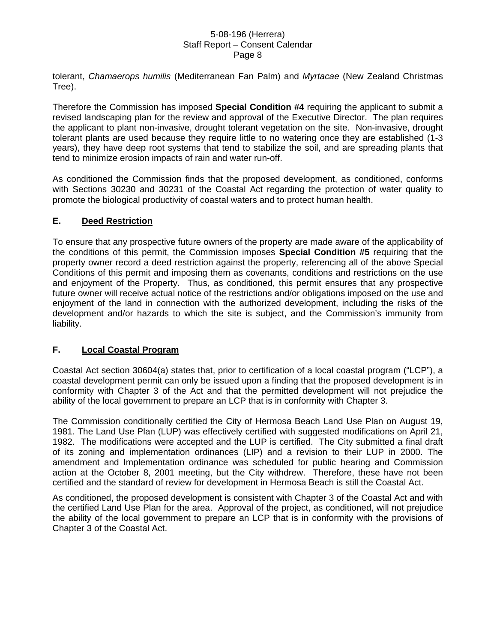tolerant, *Chamaerops humilis* (Mediterranean Fan Palm) and *Myrtacae* (New Zealand Christmas Tree).

Therefore the Commission has imposed **Special Condition #4** requiring the applicant to submit a revised landscaping plan for the review and approval of the Executive Director. The plan requires the applicant to plant non-invasive, drought tolerant vegetation on the site. Non-invasive, drought tolerant plants are used because they require little to no watering once they are established (1-3 years), they have deep root systems that tend to stabilize the soil, and are spreading plants that tend to minimize erosion impacts of rain and water run-off.

As conditioned the Commission finds that the proposed development, as conditioned, conforms with Sections 30230 and 30231 of the Coastal Act regarding the protection of water quality to promote the biological productivity of coastal waters and to protect human health.

#### **E. Deed Restriction**

To ensure that any prospective future owners of the property are made aware of the applicability of the conditions of this permit, the Commission imposes **Special Condition #5** requiring that the property owner record a deed restriction against the property, referencing all of the above Special Conditions of this permit and imposing them as covenants, conditions and restrictions on the use and enjoyment of the Property. Thus, as conditioned, this permit ensures that any prospective future owner will receive actual notice of the restrictions and/or obligations imposed on the use and enjoyment of the land in connection with the authorized development, including the risks of the development and/or hazards to which the site is subject, and the Commission's immunity from liability.

# **F. Local Coastal Program**

Coastal Act section 30604(a) states that, prior to certification of a local coastal program ("LCP"), a coastal development permit can only be issued upon a finding that the proposed development is in conformity with Chapter 3 of the Act and that the permitted development will not prejudice the ability of the local government to prepare an LCP that is in conformity with Chapter 3.

The Commission conditionally certified the City of Hermosa Beach Land Use Plan on August 19, 1981. The Land Use Plan (LUP) was effectively certified with suggested modifications on April 21, 1982. The modifications were accepted and the LUP is certified. The City submitted a final draft of its zoning and implementation ordinances (LIP) and a revision to their LUP in 2000. The amendment and Implementation ordinance was scheduled for public hearing and Commission action at the October 8, 2001 meeting, but the City withdrew. Therefore, these have not been certified and the standard of review for development in Hermosa Beach is still the Coastal Act.

As conditioned, the proposed development is consistent with Chapter 3 of the Coastal Act and with the certified Land Use Plan for the area. Approval of the project, as conditioned, will not prejudice the ability of the local government to prepare an LCP that is in conformity with the provisions of Chapter 3 of the Coastal Act.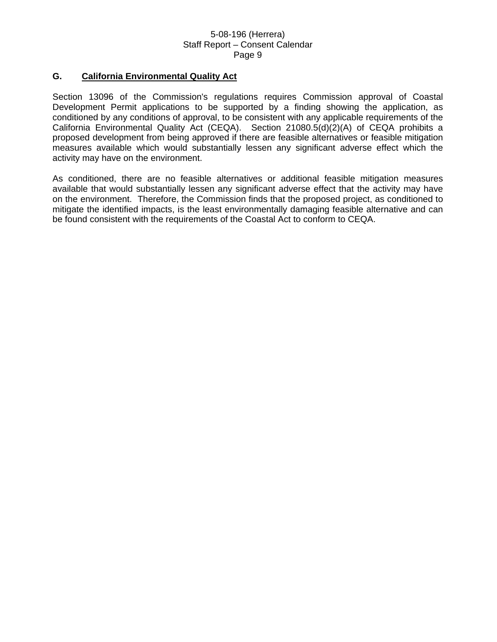#### **G. California Environmental Quality Act**

Section 13096 of the Commission's regulations requires Commission approval of Coastal Development Permit applications to be supported by a finding showing the application, as conditioned by any conditions of approval, to be consistent with any applicable requirements of the California Environmental Quality Act (CEQA). Section 21080.5(d)(2)(A) of CEQA prohibits a proposed development from being approved if there are feasible alternatives or feasible mitigation measures available which would substantially lessen any significant adverse effect which the activity may have on the environment.

As conditioned, there are no feasible alternatives or additional feasible mitigation measures available that would substantially lessen any significant adverse effect that the activity may have on the environment. Therefore, the Commission finds that the proposed project, as conditioned to mitigate the identified impacts, is the least environmentally damaging feasible alternative and can be found consistent with the requirements of the Coastal Act to conform to CEQA.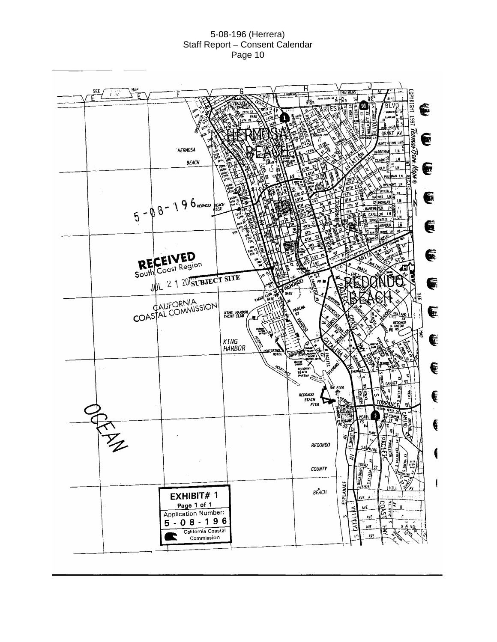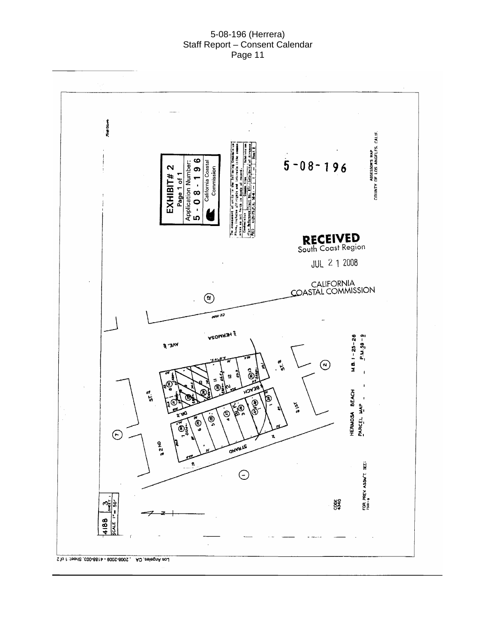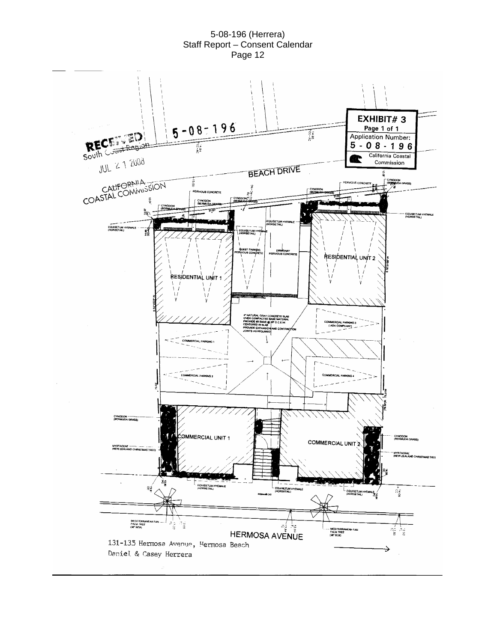

5-08-196 (Herrera) Staff Report – Consent Calendar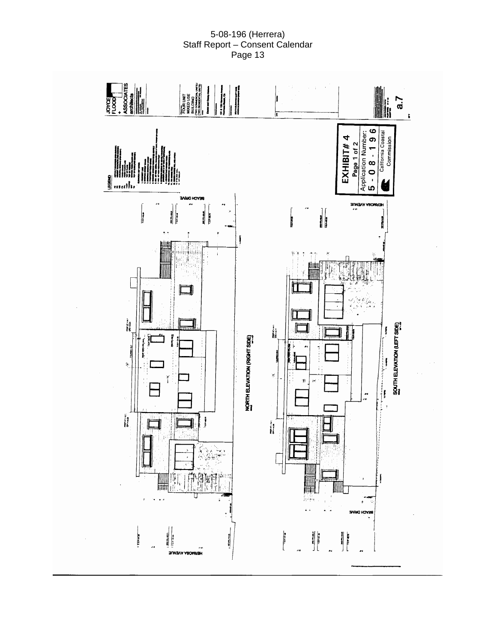

5-08-196 (Herrera)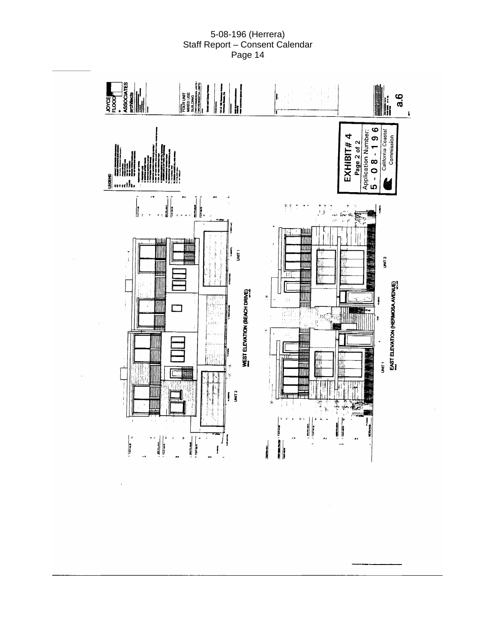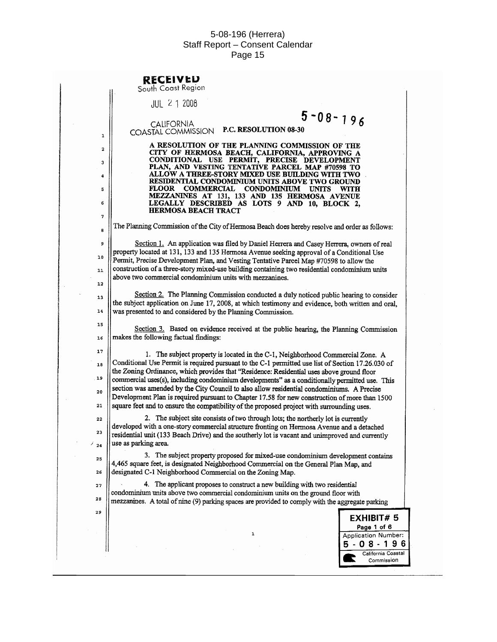|                                               | <b>RECEIVED</b><br>South Coast Region                                                                                                                                                                                                                                                                                                                                                                                                                                                                                                                                                                                                                                          |
|-----------------------------------------------|--------------------------------------------------------------------------------------------------------------------------------------------------------------------------------------------------------------------------------------------------------------------------------------------------------------------------------------------------------------------------------------------------------------------------------------------------------------------------------------------------------------------------------------------------------------------------------------------------------------------------------------------------------------------------------|
|                                               | $JUL$ 2 1 2008                                                                                                                                                                                                                                                                                                                                                                                                                                                                                                                                                                                                                                                                 |
| 1                                             | $5 - 08 - 196$<br><b>CALIFORNIA</b><br>P.C. RESOLUTION 08-30<br>COASTAL COMMISSION                                                                                                                                                                                                                                                                                                                                                                                                                                                                                                                                                                                             |
| 2<br>3<br>$\ddot{\phantom{a}}$<br>5<br>6<br>7 | A RESOLUTION OF THE PLANNING COMMISSION OF THE<br>CITY OF HERMOSA BEACH, CALIFORNIA, APPROVING A<br>CONDITIONAL USE PERMIT, PRECISE DEVELOPMENT<br>PLAN, AND VESTING TENTATIVE PARCEL MAP #70598 TO<br>ALLOW A THREE-STORY MIXED USE BUILDING WITH TWO<br>RESIDENTIAL CONDOMINIUM UNITS ABOVE TWO GROUND<br><b>COMMERCIAL</b><br><b>FLOOR</b><br><b>CONDOMINIUM</b><br><b>UNITS</b><br>WITH<br>MEZZANINES AT 131, 133 AND 135 HERMOSA AVENUE<br>LEGALLY DESCRIBED AS LOTS 9 AND 10, BLOCK 2,<br><b>HERMOSA BEACH TRACT</b>                                                                                                                                                     |
| 8                                             | The Planning Commission of the City of Hermosa Beach does hereby resolve and order as follows:                                                                                                                                                                                                                                                                                                                                                                                                                                                                                                                                                                                 |
| 9<br>10<br>$\mathbf{11}$<br>12                | Section 1. An application was filed by Daniel Herrera and Casey Herrera, owners of real<br>property located at 131, 133 and 135 Hermosa Avenue seeking approval of a Conditional Use<br>Permit, Precise Development Plan, and Vesting Tentative Parcel Map #70598 to allow the<br>construction of a three-story mixed-use building containing two residential condominium units<br>above two commercial condominium units with mezzanines.                                                                                                                                                                                                                                     |
| 13<br>14                                      | Section 2. The Planning Commission conducted a duly noticed public hearing to consider<br>the subject application on June 17, 2008, at which testimony and evidence, both written and oral,<br>was presented to and considered by the Planning Commission.                                                                                                                                                                                                                                                                                                                                                                                                                     |
| 15<br>16                                      | Section 3. Based on evidence received at the public hearing, the Planning Commission<br>makes the following factual findings:                                                                                                                                                                                                                                                                                                                                                                                                                                                                                                                                                  |
| 17<br>18<br>19<br>20<br>21                    | 1. The subject property is located in the C-1, Neighborhood Commercial Zone. A<br>Conditional Use Permit is required pursuant to the C-1 permitted use list of Section 17.26.030 of<br>the Zoning Ordinance, which provides that "Residence: Residential uses above ground floor<br>commercial uses(s), including condominium developments" as a conditionally permitted use. This<br>section was amended by the City Council to also allow residential condominiums. A Precise<br>Development Plan is required pursuant to Chapter 17.58 for new construction of more than 1500<br>square feet and to ensure the compatibility of the proposed project with surrounding uses. |
| 22<br>23<br>$\frac{7}{24}$                    | 2. The subject site consists of two through lots; the northerly lot is currently<br>developed with a one-story commercial structure fronting on Hermosa Avenue and a detached<br>residential unit (133 Beach Drive) and the southerly lot is vacant and unimproved and currently<br>use as parking area.                                                                                                                                                                                                                                                                                                                                                                       |
| 25<br>26                                      | 3. The subject property proposed for mixed-use condominium development contains<br>4,465 square feet, is designated Neighborhood Commercial on the General Plan Map, and<br>designated C-1 Neighborhood Commercial on the Zoning Map.                                                                                                                                                                                                                                                                                                                                                                                                                                          |
| 27<br>28                                      | 4. The applicant proposes to construct a new building with two residential<br>condominium units above two commercial condominium units on the ground floor with<br>mezzanines. A total of nine (9) parking spaces are provided to comply with the aggregate parking                                                                                                                                                                                                                                                                                                                                                                                                            |
| 29                                            | <b>EXHIBIT#5</b><br>Page 1 of 6                                                                                                                                                                                                                                                                                                                                                                                                                                                                                                                                                                                                                                                |
|                                               | 1<br>Application Number:<br>5 - 0 8 - 1 9 6<br>California Coastal<br>Commission                                                                                                                                                                                                                                                                                                                                                                                                                                                                                                                                                                                                |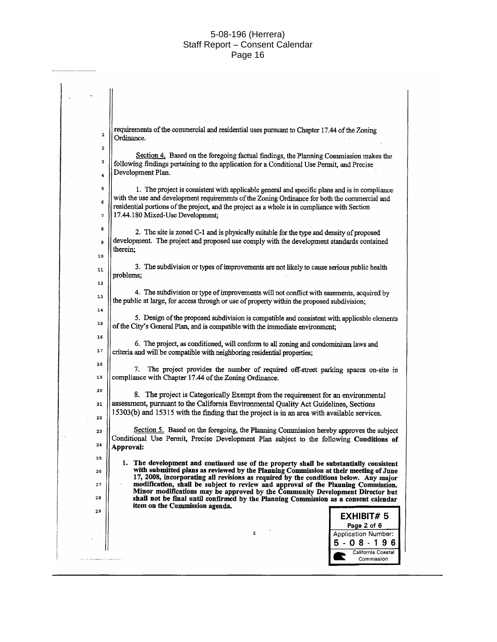requirements of the commercial and residential uses pursuant to Chapter 17.44 of the Zoning  $\mathbf{1}$ Ordinance.  $\overline{2}$ Section 4. Based on the foregoing factual findings, the Planning Commission makes the  $\overline{3}$ following findings pertaining to the application for a Conditional Use Permit, and Precise Development Plan.  $\overline{a}$ 5 1. The project is consistent with applicable general and specific plans and is in compliance with the use and development requirements of the Zoning Ordinance for both the commercial and 6 residential portions of the project, and the project as a whole is in compliance with Section 17.44.180 Mixed-Use Development;  $\overline{7}$ 8 2. The site is zoned C-1 and is physically suitable for the type and density of proposed development. The project and proposed use comply with the development standards contained 9 therein: 10 3. The subdivision or types of improvements are not likely to cause serious public health  $11$ problems:  $12$ 4. The subdivision or type of improvements will not conflict with easements, acquired by 13 the public at large, for access through or use of property within the proposed subdivision;  $14$ 5. Design of the proposed subdivision is compatible and consistent with applicable elements 15 of the City's General Plan, and is compatible with the immediate environment:  $16$ 6. The project, as conditioned, will conform to all zoning and condominium laws and  $17$ criteria and will be compatible with neighboring residential properties;  $18$ 7. The project provides the number of required off-street parking spaces on-site in compliance with Chapter 17.44 of the Zoning Ordinance. 19 20 8. The project is Categorically Exempt from the requirement for an environmental assessment, pursuant to the California Environmental Quality Act Guidelines, Sections 21 15303(b) and 15315 with the finding that the project is in an area with available services.  $22$ Section 5. Based on the foregoing, the Planning Commission hereby approves the subject 23 Conditional Use Permit, Precise Development Plan subject to the following Conditions of  $24$ Approval:  $25$ The development and continued use of the property shall be substantially consistent  $\mathbf{1}$ with submitted plans as reviewed by the Planning Commission at their meeting of June  $\bf 26$ 17, 2008, incorporating all revisions as required by the conditions below. Any major modification, shall be subject to review and approval of the Planning Commission.<br>Minor modifications may be approved by the Community Development Director but  $27$  $28$ shall not be final until confirmed by the Planning Commission as a consent calendar item on the Commission agenda.  $29$ **EXHIBIT# 5** Page 2 of 6  $\overline{\mathbf{2}}$ Application Number: 5  $-08 - 196$ California Coastal Commission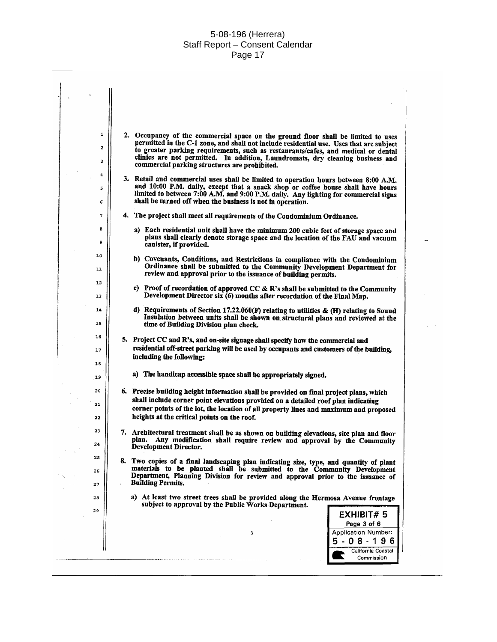| ı          | 2. Occupancy of the commercial space on the ground floor shall be limited to uses                                                                                            |
|------------|------------------------------------------------------------------------------------------------------------------------------------------------------------------------------|
| 2          | permitted in the C-1 zone, and shall not include residential use. Uses that are subject<br>to greater parking requirements, such as restaurants/cafes, and medical or dental |
| 3          | clinics are not permitted. In addition, Laundromats, dry cleaning business and                                                                                               |
|            | commercial parking structures are prohibited.                                                                                                                                |
| 4          | 3. Retail and commercial uses shall be limited to operation hours between 8:00 A.M.                                                                                          |
| 5          | and 10:00 P.M. daily, except that a snack shop or coffee house shall have hours<br>limited to between 7:00 A.M. and 9:00 P.M. daily. Any lighting for commercial signs       |
| 6          | shall be turned off when the business is not in operation.                                                                                                                   |
|            |                                                                                                                                                                              |
| 7          | 4. The project shall meet all requirements of the Condominium Ordinance.                                                                                                     |
| 8          | a) Each residential unit shall have the minimum 200 cubic feet of storage space and                                                                                          |
| 9          | plans shall clearly denote storage space and the location of the FAU and vacuum<br>canister, if provided.                                                                    |
| 10         |                                                                                                                                                                              |
|            | b) Covenants, Conditions, and Restrictions in compliance with the Condominium<br>Ordinance shall be submitted to the Community Development Department for                    |
| 11         | review and approval prior to the issuance of building permits.                                                                                                               |
| 12         | c) Proof of recordation of approved CC & R's shall be submitted to the Community                                                                                             |
| 13         | Development Director six $(6)$ months after recordation of the Final Map.                                                                                                    |
| 14         |                                                                                                                                                                              |
|            | d) Requirements of Section 17.22.060(F) relating to utilities $\&$ (H) relating to Sound<br>Insulation between units shall be shown on structural plans and reviewed at the  |
| ${\bf 15}$ | time of Building Division plan check.                                                                                                                                        |
| 16         | 5. Project CC and R's, and on-site signage shall specify how the commercial and                                                                                              |
| 17         | residential off-street parking will be used by occupants and customers of the building,                                                                                      |
|            | including the following:                                                                                                                                                     |
| 16         |                                                                                                                                                                              |
| 19         | a) The handicap accessible space shall be appropriately signed.                                                                                                              |
| 20         | 6. Precise building height information shall be provided on final project plans, which                                                                                       |
| 21         | shall include corner point elevations provided on a detailed roof plan indicating                                                                                            |
|            | corner points of the lot, the location of all property lines and maximum and proposed                                                                                        |
| 22         | heights at the critical points on the roof.                                                                                                                                  |
| 23         | 7. Architectural treatment shall be as shown on building elevations, site plan and floor                                                                                     |
| 24         | Any modification shall require review and approval by the Community<br>plan.<br>Development Director.                                                                        |
| 25         |                                                                                                                                                                              |
|            | 8. Two copies of a final landscaping plan indicating size, type, and quantity of plant<br>materials to be planted shall be submitted to the Community Development            |
| 26         | Department, Planning Division for review and approval prior to the issuance of                                                                                               |
| 27.        | <b>Building Permits.</b>                                                                                                                                                     |
| 28         | a) At least two street trees shall be provided along the Hermosa Avenue frontage                                                                                             |
| 29         | subject to approval by the Public Works Department.                                                                                                                          |
|            | EXHIBIT#5<br>Page 3 of 6                                                                                                                                                     |
|            | <b>Application Number:</b><br>3                                                                                                                                              |
|            | $5 - 08 - 196$                                                                                                                                                               |
|            | California Coastal                                                                                                                                                           |
|            | Commission                                                                                                                                                                   |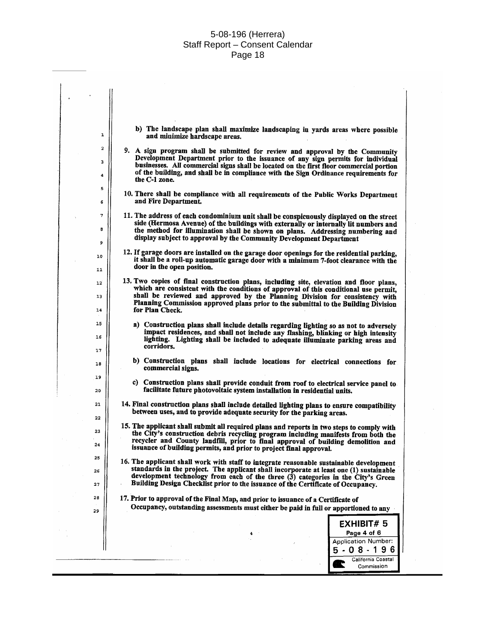$\overline{a}$ 

| ı              | b) The landscape plan shall maximize landscaping in yards areas where possible<br>and minimize hardscape areas.                                                                                                                                                                                                                                                         |
|----------------|-------------------------------------------------------------------------------------------------------------------------------------------------------------------------------------------------------------------------------------------------------------------------------------------------------------------------------------------------------------------------|
| 2<br>з<br>4    | 9. A sign program shall be submitted for review and approval by the Community<br>Development Department prior to the issuance of any sign permits for individual<br>businesses. All commercial signs shall be located on the first floor commercial portion<br>of the building, and shall be in compliance with the Sign Ordinance requirements for<br>the C-1 zone.    |
| 5<br>6         | 10. There shall be compliance with all requirements of the Public Works Department<br>and Fire Department.                                                                                                                                                                                                                                                              |
| 7<br>8<br>9    | 11. The address of each condominium unit shall be conspicuously displayed on the street<br>side (Hermosa Avenue) of the buildings with externally or internally lit numbers and<br>the method for illumination shall be shown on plans. Addressing numbering and<br>display subject to approval by the Community Development Department                                 |
| 10<br>11       | 12. If garage doors are installed on the garage door openings for the residential parking,<br>it shall be a roll-up automatic garage door with a minimum 7-foot clearance with the<br>door in the open position.                                                                                                                                                        |
| 12<br>13<br>14 | 13. Two copies of final construction plans, including site, elevation and floor plans,<br>which are consistent with the conditions of approval of this conditional use permit,<br>shall be reviewed and approved by the Planning Division for consistency with<br>Planning Commission approved plans prior to the submittal to the Building Division<br>for Plan Check. |
| 15<br>16<br>17 | a) Construction plans shall include details regarding lighting so as not to adversely<br>impact residences, and shall not include any flashing, blinking or high intensity<br>lighting. Lighting shall be included to adequate illuminate parking areas and<br>corridors.                                                                                               |
| 18             | b) Construction plans shall include locations for electrical connections for<br>commercial signs.                                                                                                                                                                                                                                                                       |
| 19<br>20       | c) Construction plans shall provide conduit from roof to electrical service panel to<br>facilitate future photovoltaic system installation in residential units.                                                                                                                                                                                                        |
| 21             | 14. Final construction plans shall include detailed lighting plans to ensure compatibility<br>between uses, and to provide adequate security for the parking areas.                                                                                                                                                                                                     |
| 22<br>23<br>24 | 15. The applicant shall submit all required plans and reports in two steps to comply with<br>the City's construction debris recycling program including manifests from both the<br>recycler and County landfill, prior to final approval of building demolition and<br>issuance of building permits, and prior to project final approval.                               |
| 25<br>26<br>27 | 16. The applicant shall work with staff to integrate reasonable sustainable development<br>standards in the project. The applicant shall incorporate at least one (1) sustainable<br>development technology from each of the three (3) categories in the City's Green<br>Building Design Checklist prior to the issuance of the Certificate of Occupancy.               |
| 28<br>29       | 17. Prior to approval of the Final Map, and prior to issuance of a Certificate of<br>Occupancy, outstanding assessments must either be paid in full or apportioned to any                                                                                                                                                                                               |
|                | EXHIBIT#5                                                                                                                                                                                                                                                                                                                                                               |
|                | Page 4 of 6                                                                                                                                                                                                                                                                                                                                                             |
|                |                                                                                                                                                                                                                                                                                                                                                                         |
|                | <b>Application Number:</b><br>$5 - 08 - 196$                                                                                                                                                                                                                                                                                                                            |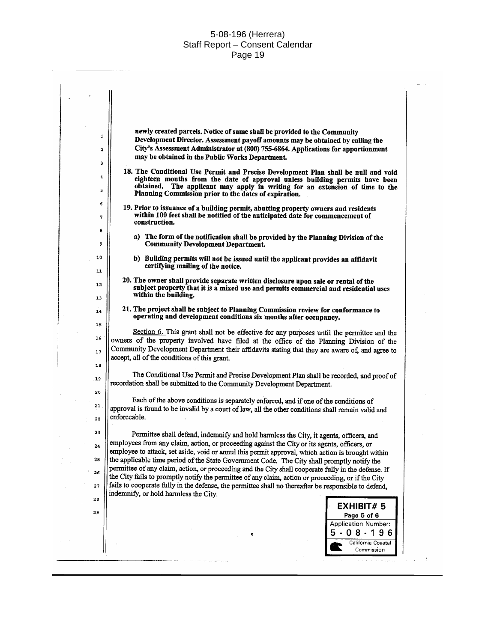$\overline{a}$ 

|    | newly created parcels. Notice of same shall be provided to the Community                                                                                                                           |
|----|----------------------------------------------------------------------------------------------------------------------------------------------------------------------------------------------------|
| 1  | Development Director. Assessment payoff amounts may be obtained by calling the                                                                                                                     |
| 2  | City's Assessment Administrator at (800) 755-6864. Applications for apportionment                                                                                                                  |
| з  | may be obtained in the Public Works Department.                                                                                                                                                    |
|    | 18. The Conditional Use Permit and Precise Development Plan shall be null and void                                                                                                                 |
| 4  | eighteen months from the date of approval unless building permits have been                                                                                                                        |
| 5  | obtained. The applicant may apply in writing for an extension of time to the<br>Planning Commission prior to the dates of expiration.                                                              |
| 6  |                                                                                                                                                                                                    |
|    | 19. Prior to issuance of a building permit, abutting property owners and residents<br>within 100 feet shall be notified of the anticipated date for commencement of                                |
| 7  | construction.                                                                                                                                                                                      |
| 8  | a) The form of the notification shall be provided by the Planning Division of the                                                                                                                  |
| 9  | <b>Community Development Department.</b>                                                                                                                                                           |
| 10 | b) Building permits will not be issued until the applicant provides an affidavit                                                                                                                   |
| 11 | certifying mailing of the notice.                                                                                                                                                                  |
|    | 20. The owner shall provide separate written disclosure upon sale or rental of the                                                                                                                 |
| 12 | subject property that it is a mixed use and permits commercial and residential uses                                                                                                                |
| 13 | within the building.                                                                                                                                                                               |
| 14 | 21. The project shall be subject to Planning Commission review for conformance to                                                                                                                  |
| 15 | operating and development conditions six months after occupancy.                                                                                                                                   |
|    | Section 6. This grant shall not be effective for any purposes until the permittee and the                                                                                                          |
| 16 | owners of the property involved have filed at the office of the Planning Division of the                                                                                                           |
| 17 | Community Development Department their affidavits stating that they are aware of, and agree to                                                                                                     |
| 18 | accept, all of the conditions of this grant.                                                                                                                                                       |
|    | The Conditional Use Permit and Precise Development Plan shall be recorded, and proof of                                                                                                            |
| 19 | recordation shall be submitted to the Community Development Department.                                                                                                                            |
| 20 |                                                                                                                                                                                                    |
| 21 | Each of the above conditions is separately enforced, and if one of the conditions of                                                                                                               |
| 22 | approval is found to be invalid by a court of law, all the other conditions shall remain valid and<br>enforceable.                                                                                 |
|    |                                                                                                                                                                                                    |
|    | Permittee shall defend, indemnify and hold harmless the City, it agents, officers, and                                                                                                             |
|    | employees from any claim, action, or proceeding against the City or its agents, officers, or                                                                                                       |
|    | employee to attack, set aside, void or annul this permit approval, which action is brought within                                                                                                  |
| 25 | the applicable time period of the State Government Code. The City shall promptly notify the<br>permittee of any claim, action, or proceeding and the City shall cooperate fully in the defense. If |
| 26 | the City fails to promptly notify the permittee of any claim, action or proceeding, or if the City                                                                                                 |
| 27 | fails to cooperate fully in the defense, the permittee shall no thereafter be responsible to defend,                                                                                               |
|    | indemnify, or hold harmless the City.                                                                                                                                                              |
|    | <b>EXHIBIT#5</b>                                                                                                                                                                                   |
|    | Page 5 of 6                                                                                                                                                                                        |
|    | Application Number:                                                                                                                                                                                |
|    | $-08 - 196$<br>5                                                                                                                                                                                   |
|    | California Coastal                                                                                                                                                                                 |
|    | Commission                                                                                                                                                                                         |